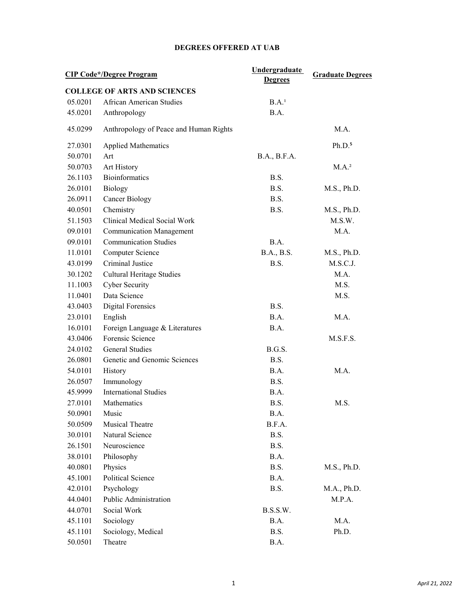| <b>COLLEGE OF ARTS AND SCIENCES</b><br>05.0201<br>African American Studies<br>B.A. <sup>1</sup><br>Anthropology<br>B.A.<br>45.0201<br>Anthropology of Peace and Human Rights<br>M.A.<br>45.0299<br>Ph.D. <sup>5</sup><br>27.0301<br><b>Applied Mathematics</b><br>50.0701<br>Art<br>B.A., B.F.A.<br>50.0703<br>M.A. <sup>2</sup><br>Art History<br><b>Bioinformatics</b><br>26.1103<br>B.S.<br>26.0101<br><b>Biology</b><br>B.S.<br>M.S., Ph.D.<br>26.0911<br><b>Cancer Biology</b><br>B.S.<br>Chemistry<br>40.0501<br>B.S.<br>M.S., Ph.D.<br>Clinical Medical Social Work<br>51.1503<br>M.S.W.<br>09.0101<br>M.A.<br><b>Communication Management</b><br><b>Communication Studies</b><br>B.A.<br>09.0101<br>Computer Science<br>B.A., B.S.<br>11.0101<br>M.S., Ph.D.<br>Criminal Justice<br>B.S.<br>M.S.C.J.<br>43.0199<br>Cultural Heritage Studies<br>M.A.<br>30.1202<br>11.1003<br><b>Cyber Security</b><br>M.S.<br>Data Science<br>11.0401<br>M.S.<br><b>Digital Forensics</b><br>43.0403<br>B.S.<br>English<br>23.0101<br>B.A.<br>M.A.<br>Foreign Language & Literatures<br>16.0101<br>B.A.<br>Forensic Science<br>43.0406<br>M.S.F.S.<br><b>General Studies</b><br>24.0102<br>B.G.S.<br>26.0801<br>Genetic and Genomic Sciences<br>B.S.<br>History<br>54.0101<br>B.A.<br>M.A.<br>Immunology<br>B.S.<br>26.0507<br><b>International Studies</b><br>B.A.<br>45.9999<br>27.0101<br>Mathematics<br>B.S.<br>M.S.<br>50.0901<br>Music<br>B.A.<br>Musical Theatre<br>B.F.A.<br>50.0509<br>Natural Science<br>B.S.<br>30.0101<br>26.1501<br>Neuroscience<br>B.S.<br>Philosophy<br>B.A.<br>38.0101<br>Physics<br>B.S.<br>40.0801<br>M.S., Ph.D.<br>Political Science<br>45.1001<br>B.A.<br>Psychology<br>B.S.<br>42.0101<br>M.A., Ph.D.<br>Public Administration<br>44.0401<br>M.P.A.<br>44.0701<br>Social Work<br>B.S.S.W.<br>B.A.<br>45.1101<br>Sociology<br>M.A.<br>Sociology, Medical<br>Ph.D.<br>45.1101<br>B.S.<br>Theatre<br>50.0501<br>B.A. | <b>CIP Code*/Degree Program</b> |  | <b>Undergraduate</b><br><b>Degrees</b> | <b>Graduate Degrees</b> |
|--------------------------------------------------------------------------------------------------------------------------------------------------------------------------------------------------------------------------------------------------------------------------------------------------------------------------------------------------------------------------------------------------------------------------------------------------------------------------------------------------------------------------------------------------------------------------------------------------------------------------------------------------------------------------------------------------------------------------------------------------------------------------------------------------------------------------------------------------------------------------------------------------------------------------------------------------------------------------------------------------------------------------------------------------------------------------------------------------------------------------------------------------------------------------------------------------------------------------------------------------------------------------------------------------------------------------------------------------------------------------------------------------------------------------------------------------------------------------------------------------------------------------------------------------------------------------------------------------------------------------------------------------------------------------------------------------------------------------------------------------------------------------------------------------------------------------------------------------------------------------------------------------------------------------------------------------|---------------------------------|--|----------------------------------------|-------------------------|
|                                                                                                                                                                                                                                                                                                                                                                                                                                                                                                                                                                                                                                                                                                                                                                                                                                                                                                                                                                                                                                                                                                                                                                                                                                                                                                                                                                                                                                                                                                                                                                                                                                                                                                                                                                                                                                                                                                                                                  |                                 |  |                                        |                         |
|                                                                                                                                                                                                                                                                                                                                                                                                                                                                                                                                                                                                                                                                                                                                                                                                                                                                                                                                                                                                                                                                                                                                                                                                                                                                                                                                                                                                                                                                                                                                                                                                                                                                                                                                                                                                                                                                                                                                                  |                                 |  |                                        |                         |
|                                                                                                                                                                                                                                                                                                                                                                                                                                                                                                                                                                                                                                                                                                                                                                                                                                                                                                                                                                                                                                                                                                                                                                                                                                                                                                                                                                                                                                                                                                                                                                                                                                                                                                                                                                                                                                                                                                                                                  |                                 |  |                                        |                         |
|                                                                                                                                                                                                                                                                                                                                                                                                                                                                                                                                                                                                                                                                                                                                                                                                                                                                                                                                                                                                                                                                                                                                                                                                                                                                                                                                                                                                                                                                                                                                                                                                                                                                                                                                                                                                                                                                                                                                                  |                                 |  |                                        |                         |
|                                                                                                                                                                                                                                                                                                                                                                                                                                                                                                                                                                                                                                                                                                                                                                                                                                                                                                                                                                                                                                                                                                                                                                                                                                                                                                                                                                                                                                                                                                                                                                                                                                                                                                                                                                                                                                                                                                                                                  |                                 |  |                                        |                         |
|                                                                                                                                                                                                                                                                                                                                                                                                                                                                                                                                                                                                                                                                                                                                                                                                                                                                                                                                                                                                                                                                                                                                                                                                                                                                                                                                                                                                                                                                                                                                                                                                                                                                                                                                                                                                                                                                                                                                                  |                                 |  |                                        |                         |
|                                                                                                                                                                                                                                                                                                                                                                                                                                                                                                                                                                                                                                                                                                                                                                                                                                                                                                                                                                                                                                                                                                                                                                                                                                                                                                                                                                                                                                                                                                                                                                                                                                                                                                                                                                                                                                                                                                                                                  |                                 |  |                                        |                         |
|                                                                                                                                                                                                                                                                                                                                                                                                                                                                                                                                                                                                                                                                                                                                                                                                                                                                                                                                                                                                                                                                                                                                                                                                                                                                                                                                                                                                                                                                                                                                                                                                                                                                                                                                                                                                                                                                                                                                                  |                                 |  |                                        |                         |
|                                                                                                                                                                                                                                                                                                                                                                                                                                                                                                                                                                                                                                                                                                                                                                                                                                                                                                                                                                                                                                                                                                                                                                                                                                                                                                                                                                                                                                                                                                                                                                                                                                                                                                                                                                                                                                                                                                                                                  |                                 |  |                                        |                         |
|                                                                                                                                                                                                                                                                                                                                                                                                                                                                                                                                                                                                                                                                                                                                                                                                                                                                                                                                                                                                                                                                                                                                                                                                                                                                                                                                                                                                                                                                                                                                                                                                                                                                                                                                                                                                                                                                                                                                                  |                                 |  |                                        |                         |
|                                                                                                                                                                                                                                                                                                                                                                                                                                                                                                                                                                                                                                                                                                                                                                                                                                                                                                                                                                                                                                                                                                                                                                                                                                                                                                                                                                                                                                                                                                                                                                                                                                                                                                                                                                                                                                                                                                                                                  |                                 |  |                                        |                         |
|                                                                                                                                                                                                                                                                                                                                                                                                                                                                                                                                                                                                                                                                                                                                                                                                                                                                                                                                                                                                                                                                                                                                                                                                                                                                                                                                                                                                                                                                                                                                                                                                                                                                                                                                                                                                                                                                                                                                                  |                                 |  |                                        |                         |
|                                                                                                                                                                                                                                                                                                                                                                                                                                                                                                                                                                                                                                                                                                                                                                                                                                                                                                                                                                                                                                                                                                                                                                                                                                                                                                                                                                                                                                                                                                                                                                                                                                                                                                                                                                                                                                                                                                                                                  |                                 |  |                                        |                         |
|                                                                                                                                                                                                                                                                                                                                                                                                                                                                                                                                                                                                                                                                                                                                                                                                                                                                                                                                                                                                                                                                                                                                                                                                                                                                                                                                                                                                                                                                                                                                                                                                                                                                                                                                                                                                                                                                                                                                                  |                                 |  |                                        |                         |
|                                                                                                                                                                                                                                                                                                                                                                                                                                                                                                                                                                                                                                                                                                                                                                                                                                                                                                                                                                                                                                                                                                                                                                                                                                                                                                                                                                                                                                                                                                                                                                                                                                                                                                                                                                                                                                                                                                                                                  |                                 |  |                                        |                         |
|                                                                                                                                                                                                                                                                                                                                                                                                                                                                                                                                                                                                                                                                                                                                                                                                                                                                                                                                                                                                                                                                                                                                                                                                                                                                                                                                                                                                                                                                                                                                                                                                                                                                                                                                                                                                                                                                                                                                                  |                                 |  |                                        |                         |
|                                                                                                                                                                                                                                                                                                                                                                                                                                                                                                                                                                                                                                                                                                                                                                                                                                                                                                                                                                                                                                                                                                                                                                                                                                                                                                                                                                                                                                                                                                                                                                                                                                                                                                                                                                                                                                                                                                                                                  |                                 |  |                                        |                         |
|                                                                                                                                                                                                                                                                                                                                                                                                                                                                                                                                                                                                                                                                                                                                                                                                                                                                                                                                                                                                                                                                                                                                                                                                                                                                                                                                                                                                                                                                                                                                                                                                                                                                                                                                                                                                                                                                                                                                                  |                                 |  |                                        |                         |
|                                                                                                                                                                                                                                                                                                                                                                                                                                                                                                                                                                                                                                                                                                                                                                                                                                                                                                                                                                                                                                                                                                                                                                                                                                                                                                                                                                                                                                                                                                                                                                                                                                                                                                                                                                                                                                                                                                                                                  |                                 |  |                                        |                         |
|                                                                                                                                                                                                                                                                                                                                                                                                                                                                                                                                                                                                                                                                                                                                                                                                                                                                                                                                                                                                                                                                                                                                                                                                                                                                                                                                                                                                                                                                                                                                                                                                                                                                                                                                                                                                                                                                                                                                                  |                                 |  |                                        |                         |
|                                                                                                                                                                                                                                                                                                                                                                                                                                                                                                                                                                                                                                                                                                                                                                                                                                                                                                                                                                                                                                                                                                                                                                                                                                                                                                                                                                                                                                                                                                                                                                                                                                                                                                                                                                                                                                                                                                                                                  |                                 |  |                                        |                         |
|                                                                                                                                                                                                                                                                                                                                                                                                                                                                                                                                                                                                                                                                                                                                                                                                                                                                                                                                                                                                                                                                                                                                                                                                                                                                                                                                                                                                                                                                                                                                                                                                                                                                                                                                                                                                                                                                                                                                                  |                                 |  |                                        |                         |
|                                                                                                                                                                                                                                                                                                                                                                                                                                                                                                                                                                                                                                                                                                                                                                                                                                                                                                                                                                                                                                                                                                                                                                                                                                                                                                                                                                                                                                                                                                                                                                                                                                                                                                                                                                                                                                                                                                                                                  |                                 |  |                                        |                         |
|                                                                                                                                                                                                                                                                                                                                                                                                                                                                                                                                                                                                                                                                                                                                                                                                                                                                                                                                                                                                                                                                                                                                                                                                                                                                                                                                                                                                                                                                                                                                                                                                                                                                                                                                                                                                                                                                                                                                                  |                                 |  |                                        |                         |
|                                                                                                                                                                                                                                                                                                                                                                                                                                                                                                                                                                                                                                                                                                                                                                                                                                                                                                                                                                                                                                                                                                                                                                                                                                                                                                                                                                                                                                                                                                                                                                                                                                                                                                                                                                                                                                                                                                                                                  |                                 |  |                                        |                         |
|                                                                                                                                                                                                                                                                                                                                                                                                                                                                                                                                                                                                                                                                                                                                                                                                                                                                                                                                                                                                                                                                                                                                                                                                                                                                                                                                                                                                                                                                                                                                                                                                                                                                                                                                                                                                                                                                                                                                                  |                                 |  |                                        |                         |
|                                                                                                                                                                                                                                                                                                                                                                                                                                                                                                                                                                                                                                                                                                                                                                                                                                                                                                                                                                                                                                                                                                                                                                                                                                                                                                                                                                                                                                                                                                                                                                                                                                                                                                                                                                                                                                                                                                                                                  |                                 |  |                                        |                         |
|                                                                                                                                                                                                                                                                                                                                                                                                                                                                                                                                                                                                                                                                                                                                                                                                                                                                                                                                                                                                                                                                                                                                                                                                                                                                                                                                                                                                                                                                                                                                                                                                                                                                                                                                                                                                                                                                                                                                                  |                                 |  |                                        |                         |
|                                                                                                                                                                                                                                                                                                                                                                                                                                                                                                                                                                                                                                                                                                                                                                                                                                                                                                                                                                                                                                                                                                                                                                                                                                                                                                                                                                                                                                                                                                                                                                                                                                                                                                                                                                                                                                                                                                                                                  |                                 |  |                                        |                         |
|                                                                                                                                                                                                                                                                                                                                                                                                                                                                                                                                                                                                                                                                                                                                                                                                                                                                                                                                                                                                                                                                                                                                                                                                                                                                                                                                                                                                                                                                                                                                                                                                                                                                                                                                                                                                                                                                                                                                                  |                                 |  |                                        |                         |
|                                                                                                                                                                                                                                                                                                                                                                                                                                                                                                                                                                                                                                                                                                                                                                                                                                                                                                                                                                                                                                                                                                                                                                                                                                                                                                                                                                                                                                                                                                                                                                                                                                                                                                                                                                                                                                                                                                                                                  |                                 |  |                                        |                         |
|                                                                                                                                                                                                                                                                                                                                                                                                                                                                                                                                                                                                                                                                                                                                                                                                                                                                                                                                                                                                                                                                                                                                                                                                                                                                                                                                                                                                                                                                                                                                                                                                                                                                                                                                                                                                                                                                                                                                                  |                                 |  |                                        |                         |
|                                                                                                                                                                                                                                                                                                                                                                                                                                                                                                                                                                                                                                                                                                                                                                                                                                                                                                                                                                                                                                                                                                                                                                                                                                                                                                                                                                                                                                                                                                                                                                                                                                                                                                                                                                                                                                                                                                                                                  |                                 |  |                                        |                         |
|                                                                                                                                                                                                                                                                                                                                                                                                                                                                                                                                                                                                                                                                                                                                                                                                                                                                                                                                                                                                                                                                                                                                                                                                                                                                                                                                                                                                                                                                                                                                                                                                                                                                                                                                                                                                                                                                                                                                                  |                                 |  |                                        |                         |
|                                                                                                                                                                                                                                                                                                                                                                                                                                                                                                                                                                                                                                                                                                                                                                                                                                                                                                                                                                                                                                                                                                                                                                                                                                                                                                                                                                                                                                                                                                                                                                                                                                                                                                                                                                                                                                                                                                                                                  |                                 |  |                                        |                         |
|                                                                                                                                                                                                                                                                                                                                                                                                                                                                                                                                                                                                                                                                                                                                                                                                                                                                                                                                                                                                                                                                                                                                                                                                                                                                                                                                                                                                                                                                                                                                                                                                                                                                                                                                                                                                                                                                                                                                                  |                                 |  |                                        |                         |
|                                                                                                                                                                                                                                                                                                                                                                                                                                                                                                                                                                                                                                                                                                                                                                                                                                                                                                                                                                                                                                                                                                                                                                                                                                                                                                                                                                                                                                                                                                                                                                                                                                                                                                                                                                                                                                                                                                                                                  |                                 |  |                                        |                         |
|                                                                                                                                                                                                                                                                                                                                                                                                                                                                                                                                                                                                                                                                                                                                                                                                                                                                                                                                                                                                                                                                                                                                                                                                                                                                                                                                                                                                                                                                                                                                                                                                                                                                                                                                                                                                                                                                                                                                                  |                                 |  |                                        |                         |
|                                                                                                                                                                                                                                                                                                                                                                                                                                                                                                                                                                                                                                                                                                                                                                                                                                                                                                                                                                                                                                                                                                                                                                                                                                                                                                                                                                                                                                                                                                                                                                                                                                                                                                                                                                                                                                                                                                                                                  |                                 |  |                                        |                         |
|                                                                                                                                                                                                                                                                                                                                                                                                                                                                                                                                                                                                                                                                                                                                                                                                                                                                                                                                                                                                                                                                                                                                                                                                                                                                                                                                                                                                                                                                                                                                                                                                                                                                                                                                                                                                                                                                                                                                                  |                                 |  |                                        |                         |
|                                                                                                                                                                                                                                                                                                                                                                                                                                                                                                                                                                                                                                                                                                                                                                                                                                                                                                                                                                                                                                                                                                                                                                                                                                                                                                                                                                                                                                                                                                                                                                                                                                                                                                                                                                                                                                                                                                                                                  |                                 |  |                                        |                         |
|                                                                                                                                                                                                                                                                                                                                                                                                                                                                                                                                                                                                                                                                                                                                                                                                                                                                                                                                                                                                                                                                                                                                                                                                                                                                                                                                                                                                                                                                                                                                                                                                                                                                                                                                                                                                                                                                                                                                                  |                                 |  |                                        |                         |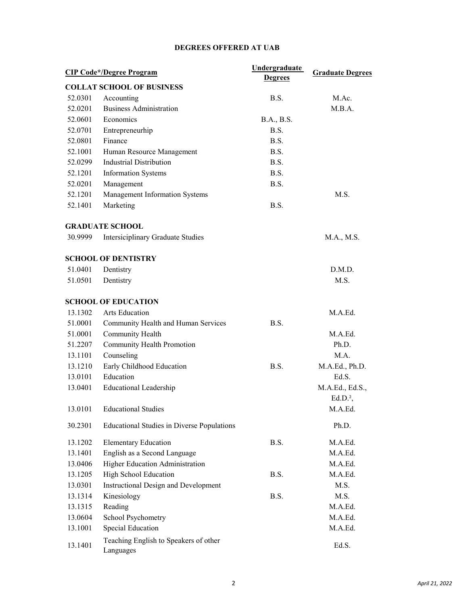| <b>CIP Code*/Degree Program</b> |                                                    | <b>Undergraduate</b> | <b>Graduate Degrees</b> |
|---------------------------------|----------------------------------------------------|----------------------|-------------------------|
|                                 |                                                    | <b>Degrees</b>       |                         |
|                                 | <b>COLLAT SCHOOL OF BUSINESS</b>                   |                      |                         |
| 52.0301                         | Accounting                                         | B.S.                 | M.Ac.                   |
| 52.0201                         | <b>Business Administration</b>                     |                      | M.B.A.                  |
| 52.0601                         | Economics                                          | B.A., B.S.           |                         |
| 52.0701                         | Entrepreneurhip                                    | B.S.                 |                         |
| 52.0801                         | Finance                                            | B.S.                 |                         |
| 52.1001                         | Human Resource Management                          | B.S.                 |                         |
| 52.0299                         | <b>Industrial Distribution</b>                     | B.S.                 |                         |
| 52.1201                         | <b>Information Systems</b>                         | B.S.                 |                         |
| 52.0201                         | Management                                         | B.S.                 |                         |
| 52.1201                         | Management Information Systems                     |                      | M.S.                    |
| 52.1401                         | Marketing                                          | B.S.                 |                         |
|                                 | <b>GRADUATE SCHOOL</b>                             |                      |                         |
| 30.9999                         | Intersiciplinary Graduate Studies                  |                      | M.A., M.S.              |
|                                 | <b>SCHOOL OF DENTISTRY</b>                         |                      |                         |
| 51.0401                         | Dentistry                                          |                      | D.M.D.                  |
| 51.0501                         | Dentistry                                          |                      | M.S.                    |
|                                 | <b>SCHOOL OF EDUCATION</b>                         |                      |                         |
| 13.1302                         | Arts Education                                     |                      | M.A.Ed.                 |
| 51.0001                         | Community Health and Human Services                | B.S.                 |                         |
| 51.0001                         | Community Health                                   |                      | M.A.Ed.                 |
| 51.2207                         | Community Health Promotion                         |                      | Ph.D.                   |
| 13.1101                         | Counseling                                         |                      | M.A.                    |
| 13.1210                         | Early Childhood Education                          | B.S.                 | M.A.Ed., Ph.D.          |
| 13.0101                         | Education                                          |                      | Ed.S.                   |
| 13.0401                         | <b>Educational Leadership</b>                      |                      | M.A.Ed., Ed.S.,         |
|                                 |                                                    |                      | $Ed.D.^2$               |
|                                 | 13.0101 Educational Studies                        |                      | M.A.Ed.                 |
| 30.2301                         | <b>Educational Studies in Diverse Populations</b>  |                      | Ph.D.                   |
| 13.1202                         | <b>Elementary Education</b>                        | B.S.                 | M.A.Ed.                 |
| 13.1401                         | English as a Second Language                       |                      | M.A.Ed.                 |
| 13.0406                         | Higher Education Administration                    |                      | M.A.Ed.                 |
| 13.1205                         | High School Education                              | B.S.                 | M.A.Ed.                 |
| 13.0301                         | <b>Instructional Design and Development</b>        |                      | M.S.                    |
| 13.1314                         | Kinesiology                                        | B.S.                 | M.S.                    |
| 13.1315                         | Reading                                            |                      | M.A.Ed.                 |
| 13.0604                         | School Psychometry                                 |                      | M.A.Ed.                 |
| 13.1001                         | <b>Special Education</b>                           |                      | M.A.Ed.                 |
| 13.1401                         | Teaching English to Speakers of other<br>Languages |                      | Ed.S.                   |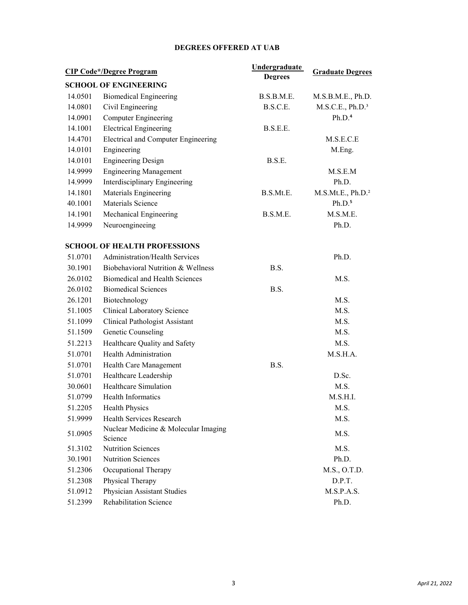|         | <b>CIP Code*/Degree Program</b>                 | Undergraduate<br><b>Degrees</b> | <b>Graduate Degrees</b>       |
|---------|-------------------------------------------------|---------------------------------|-------------------------------|
|         | <b>SCHOOL OF ENGINEERING</b>                    |                                 |                               |
| 14.0501 | <b>Biomedical Engineering</b>                   | B.S.B.M.E.                      | M.S.B.M.E., Ph.D.             |
| 14.0801 | Civil Engineering                               | B.S.C.E.                        | M.S.C.E., Ph.D. <sup>3</sup>  |
| 14.0901 | <b>Computer Engineering</b>                     |                                 | Ph.D. <sup>4</sup>            |
| 14.1001 | <b>Electrical Engineering</b>                   | B.S.E.E.                        |                               |
| 14.4701 | Electrical and Computer Engineering             |                                 | M.S.E.C.E                     |
| 14.0101 | Engineering                                     |                                 | M.Eng.                        |
| 14.0101 | <b>Engineering Design</b>                       | B.S.E.                          |                               |
| 14.9999 | <b>Engineering Management</b>                   |                                 | M.S.E.M                       |
| 14.9999 | Interdisciplinary Engineering                   |                                 | Ph.D.                         |
| 14.1801 | Materials Engineering                           | B.S.Mt.E.                       | M.S.Mt.E., Ph.D. <sup>2</sup> |
| 40.1001 | Materials Science                               |                                 | Ph.D. <sup>5</sup>            |
| 14.1901 | Mechanical Engineering                          | B.S.M.E.                        | M.S.M.E.                      |
| 14.9999 | Neuroengineeing                                 |                                 | Ph.D.                         |
|         | <b>SCHOOL OF HEALTH PROFESSIONS</b>             |                                 |                               |
| 51.0701 | <b>Administration/Health Services</b>           |                                 | Ph.D.                         |
| 30.1901 | Biobehavioral Nutrition & Wellness              | B.S.                            |                               |
| 26.0102 | Biomedical and Health Sciences                  |                                 | M.S.                          |
| 26.0102 | <b>Biomedical Sciences</b>                      | B.S.                            |                               |
| 26.1201 | Biotechnology                                   |                                 | M.S.                          |
| 51.1005 | Clinical Laboratory Science                     |                                 | M.S.                          |
| 51.1099 | <b>Clinical Pathologist Assistant</b>           |                                 | M.S.                          |
| 51.1509 | Genetic Counseling                              |                                 | M.S.                          |
| 51.2213 | Healthcare Quality and Safety                   |                                 | M.S.                          |
| 51.0701 | <b>Health Administration</b>                    |                                 | M.S.H.A.                      |
| 51.0701 | Health Care Management                          | B.S.                            |                               |
| 51.0701 | Healthcare Leadership                           |                                 | D.Sc.                         |
| 30.0601 | Healthcare Simulation                           |                                 | M.S.                          |
| 51.0799 | <b>Health Informatics</b>                       |                                 | M.S.H.I.                      |
| 51.2205 | <b>Health Physics</b>                           |                                 | M.S.                          |
| 51.9999 | Health Services Research                        |                                 | M.S.                          |
| 51.0905 | Nuclear Medicine & Molecular Imaging<br>Science |                                 | M.S.                          |
| 51.3102 | <b>Nutrition Sciences</b>                       |                                 | M.S.                          |
| 30.1901 | <b>Nutrition Sciences</b>                       |                                 | Ph.D.                         |
| 51.2306 | Occupational Therapy                            |                                 | M.S., O.T.D.                  |
| 51.2308 | Physical Therapy                                |                                 | D.P.T.                        |
| 51.0912 | Physician Assistant Studies                     |                                 | M.S.P.A.S.                    |
| 51.2399 | Rehabilitation Science                          |                                 | Ph.D.                         |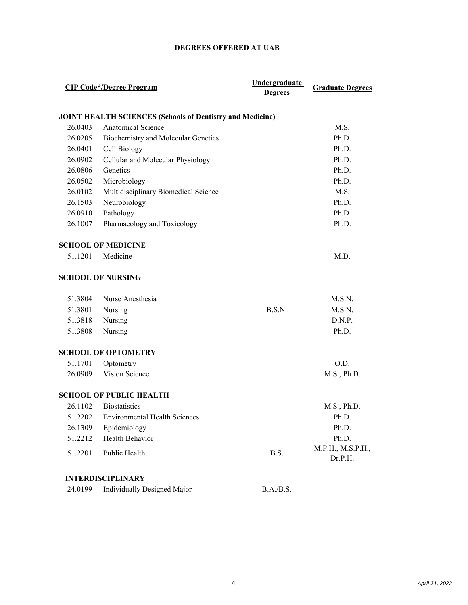| <b>CIP Code*/Degree Program</b> |                                                                  | Undergraduate<br><b>Degrees</b> | <b>Graduate Degrees</b>      |
|---------------------------------|------------------------------------------------------------------|---------------------------------|------------------------------|
|                                 | <b>JOINT HEALTH SCIENCES (Schools of Dentistry and Medicine)</b> |                                 |                              |
| 26.0403                         | Anatomical Science                                               |                                 | M.S.                         |
| 26.0205                         | Biochemistry and Molecular Genetics                              |                                 | Ph.D.                        |
| 26.0401                         | Cell Biology                                                     |                                 | Ph.D.                        |
| 26.0902                         | Cellular and Molecular Physiology                                |                                 | Ph.D.                        |
| 26.0806                         | Genetics                                                         |                                 | Ph.D.                        |
| 26.0502                         | Microbiology                                                     |                                 | Ph.D.                        |
| 26.0102                         | Multidisciplinary Biomedical Science                             |                                 | M.S.                         |
| 26.1503                         | Neurobiology                                                     |                                 | Ph.D.                        |
| 26.0910                         | Pathology                                                        |                                 | Ph.D.                        |
| 26.1007                         | Pharmacology and Toxicology                                      |                                 | Ph.D.                        |
|                                 | <b>SCHOOL OF MEDICINE</b>                                        |                                 |                              |
| 51.1201                         | Medicine                                                         |                                 | M.D.                         |
|                                 | <b>SCHOOL OF NURSING</b>                                         |                                 |                              |
| 51.3804                         | Nurse Anesthesia                                                 |                                 | M.S.N.                       |
| 51.3801                         | Nursing                                                          | B.S.N.                          | M.S.N.                       |
| 51.3818                         | Nursing                                                          |                                 | D.N.P.                       |
| 51.3808                         | Nursing                                                          |                                 | Ph.D.                        |
|                                 | <b>SCHOOL OF OPTOMETRY</b>                                       |                                 |                              |
| 51.1701                         | Optometry                                                        |                                 | O.D.                         |
| 26.0909                         | Vision Science                                                   |                                 | M.S., Ph.D.                  |
|                                 | <b>SCHOOL OF PUBLIC HEALTH</b>                                   |                                 |                              |
| 26.1102                         | <b>Biostatistics</b>                                             |                                 | M.S., Ph.D.                  |
| 51.2202                         | <b>Environmental Health Sciences</b>                             |                                 | Ph.D.                        |
| 26.1309                         | Epidemiology                                                     |                                 | Ph.D.                        |
| 51.2212                         | Health Behavior                                                  |                                 | Ph.D.                        |
| 51.2201                         | Public Health                                                    | B.S.                            | M.P.H., M.S.P.H.,<br>Dr.P.H. |
|                                 | <b>INTERDISCIPLINARY</b>                                         |                                 |                              |
| 24.0199                         | Individually Designed Major                                      | B.A./B.S.                       |                              |